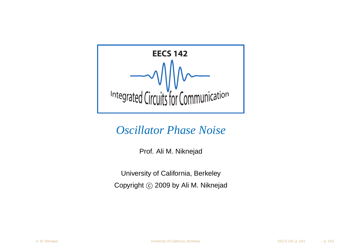

#### *Oscillator Phase Noise*

Prof. Ali M. Niknejad

University of California, BerkeleyCopyright ⓒ 2009 by Ali M. Niknejad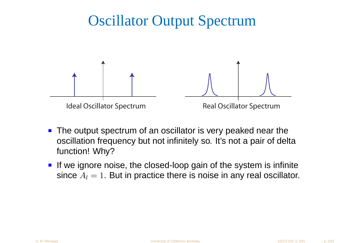## Oscillator Output Spectrum



- **The output spectrum of an oscillator is very peaked near the**  oscillation frequency but not infinitely so. It's not <sup>a</sup> pair of deltafunction! Why?
- **If we ignore noise, the closed-loop gain of the system is infinite** since  $A_l = 1$ . But in practice there is noise in any real oscillator.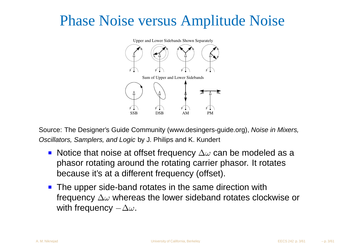## Phase Noise versus Amplitude Noise



Source: The Designer's Guide Community (www.desingers-guide.org), Noise in Mixers, Oscillators, Samplers, and Logic by J. Philips and K. Kundert

- Notice that noise at offset frequency  $\Delta\omega$  can be modeled as a phasor rotating around the rotating carrier phasor. It rotatesbecause it's at <sup>a</sup> different frequency (offset).
- The upper side-band rotates in the same direction with frequency  $\Delta\omega$  whereas the lower sideband rotates clockwise or with frequency $-\Delta \omega$  .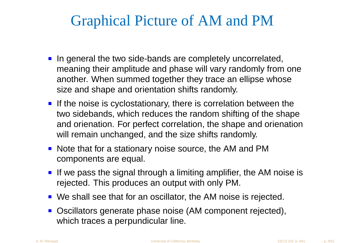## Graphical Picture of AM and PM

- In general the two side-bands are completely uncorrelated, meaning their amplitude and phase will vary randomly from one another. When summed together they trace an ellipse whosesize and shape and orientation shifts randomly.
- **If the noise is cyclostationary, there is correlation between the**  two sidebands, which reduces the random shifting of the shape and orienation. For perfect correlation, the shape and orienationwill remain unchanged, and the size shifts randomly.
- Note that for a stationary noise source, the AM and PM components are equal.
- If we pass the signal through a limiting amplifier, the AM noise is rejected. This produces an output with only PM.
- We shall see that for an oscillator, the AM noise is rejected.
- Oscillators generate phase noise (AM component rejected), which traces a perpundicular line.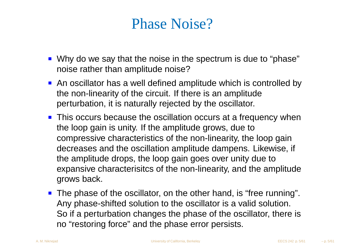## Phase Noise?

- Why do we say that the noise in the spectrum is due to "phase"noise rather than amplitude noise?
- An oscillator has a well defined amplitude which is controlled by the non-linearity of the circuit. If there is an amplitudeperturbation, it is naturally rejected by the oscillator.
- **This occurs because the oscillation occurs at a frequency when** the loop gain is unity. If the amplitude grows, due to compressive characteristics of the non-linearity, the loop gain decreases and the oscillation amplitude dampens. Likewise, if the amplitude drops, the loop gain goes over unity due to expansive characterisitcs of the non-linearity, and the amplitudegrows back.
- The phase of the oscillator, on the other hand, is "free running". Any phase-shifted solution to the oscillator is <sup>a</sup> valid solution. So if <sup>a</sup> perturbation changes the phase of the oscillator, there isno "restoring force" and the phase error persists.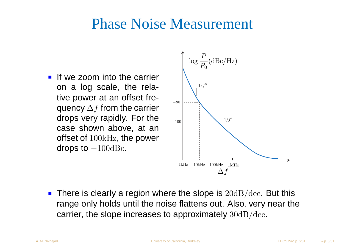#### Phase Noise Measurement

**If we zoom into the carrier** on <sup>a</sup> log scale, the relative power at an offset frequency  $\Delta f$  from the carrier drops very rapidly. For the case shown above, at anoffset of  $100 \mathrm{kHz}$ , the power drops to  $-100 \rm{dB}$ c.



There is clearly a region where the slope is  $20\mathrm{dB}/\mathrm{dec}.$  But this range only holds until the noise flattens out. Also, very near thecarrier, the slope increases to approximately  $30\mathrm{dB}/\mathrm{dec.}$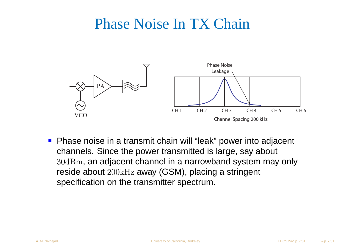## Phase Noise In TX Chain



**Phase noise in a transmit chain will "leak" power into adjacent** channels. Since the power transmitted is large, say about 30dBm, an adjacent channel in <sup>a</sup> narrowband system may onlyreside about  $200\mathrm{kHz}$  away (GSM), placing a stringent specification on the transmitter spectrum.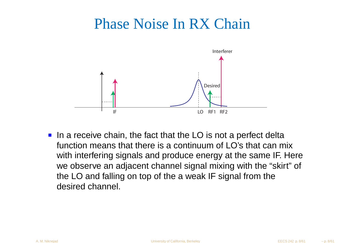## Phase Noise In RX Chain



In a receive chain, the fact that the LO is not a perfect delta function means that there is <sup>a</sup> continuum of LO's that can mix with interfering signals and produce energy at the same IF. Here we observe an adjacent channel signal mixing with the "skirt" of the LO and falling on top of the <sup>a</sup> weak IF signal from thedesired channel.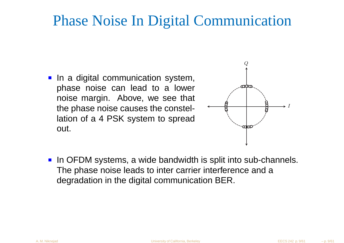## Phase Noise In Digital Communication

**In a digital communication system,** phase noise can lead to <sup>a</sup> lower noise margin. Above, we see that the phase noise causes the constellation of <sup>a</sup> <sup>4</sup> PSK system to spreadout.



In OFDM systems, a wide bandwidth is split into sub-channels. The phase noise leads to inter carrier interference and <sup>a</sup>degradation in the digital communication BER.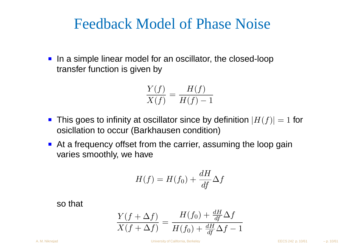#### Feedback Model of Phase Noise

In a simple linear model for an oscillator, the closed-loop transfer function is given by

$$
\frac{Y(f)}{X(f)} = \frac{H(f)}{H(f) - 1}
$$

- This goes to infinity at oscillator since by definition  $|H(f)| = 1$  for osicllation to occur (Barkhausen condition)
- At <sup>a</sup> frequency offset from the carrier, assuming the loop gai nvaries smoothly, we have

$$
H(f) = H(f_0) + \frac{dH}{df} \Delta f
$$

so that

A. M. Niknejad

$$
\frac{Y(f + \Delta f)}{X(f + \Delta f)} = \frac{H(f_0) + \frac{dH}{df}\Delta f}{H(f_0) + \frac{dH}{df}\Delta f - 1}
$$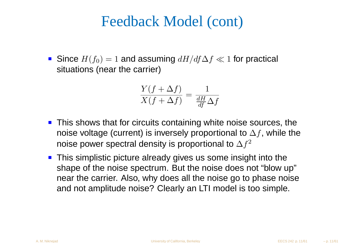## Feedback Model (cont)

Since  $H(f_0)=1$  and assuming  $dH/df\Delta f\ll 1$  for practical \∔i, situations (near the carrier)

$$
\frac{Y(f+\Delta f)}{X(f+\Delta f)}=\frac{1}{\frac{dH}{df}\Delta f}
$$

- **This shows that for circuits containing white noise sources, the** noise voltage (current) is inversely proportional to  $\Delta f$ , while the noise power spectral density is proportional to  $\Delta f^2$
- This simplistic picture already gives us some insight into the shape of the noise spectrum. But the noise does not "blow up"near the carrier. Also, why does all the noise go to phase noiseand not amplitude noise? Clearly an LTI model is too simple.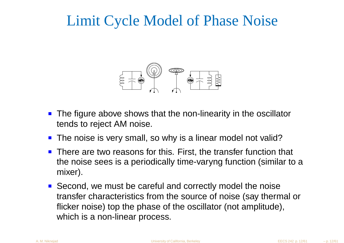## Limit Cycle Model of Phase Noise



- The figure above shows that the non-linearity in the oscillatortends to reject AM noise.
- **The noise is very small, so why is a linear model not valid?**
- **There are two reasons for this. First, the transfer function that** the noise sees is <sup>a</sup> periodically time-varyng function (similar to <sup>a</sup>mixer).
- Second, we must be careful and correctly model the noise transfer characteristics from the source of noise (say thermal orflicker noise) top the phase of the oscillator (not amplitude), which is <sup>a</sup> non-linear process.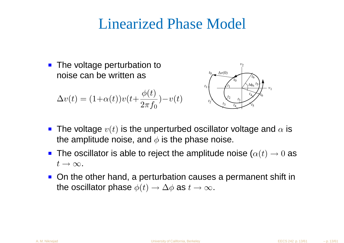## Linearized Phase Model

• The voltage perturbation to noise can be written as $\phi$  $\left( t\right)$ *t*1 $t_{\rm 0}$ 

$$
\Delta v(t) = (1 + \alpha(t))v(t + \frac{\phi(t)}{2\pi f_0}) - v(t)
$$



- The voltage  $v(t)$  is the unperturbed oscillator voltage and  $\alpha$  is the amplitude noise, and  $\phi$  is the phase noise.
- The oscillator is able to reject the amplitude noise  $(\alpha(t)\rightarrow 0$  as  $t\rightarrow\infty$ .
- On the other hand, a perturbation causes a permanent shift in the oscillator phase  $\phi(t)\to\Delta\phi$  as  $t\to\infty.$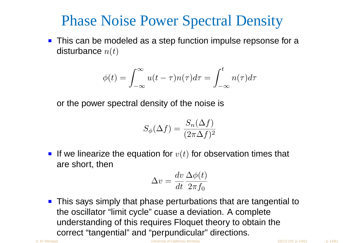## Phase Noise Power Spectral Density

**This can be modeled as a step function impulse repsonse for a** disturbance  $n(t)$ 

$$
\phi(t) = \int_{-\infty}^{\infty} u(t - \tau) n(\tau) d\tau = \int_{-\infty}^{t} n(\tau) d\tau
$$

or the power spectral density of the noise is

$$
S_{\phi}(\Delta f) = \frac{S_n(\Delta f)}{(2\pi\Delta f)^2}
$$

If we linearize the equation for  $v(t)$  for observation times that are short, then

$$
\Delta v = \frac{dv}{dt} \frac{\Delta \phi(t)}{2\pi f_0}
$$

**This says simply that phase perturbations that are tangential to** the oscillator "limit cycle" cuase <sup>a</sup> deviation. A complete understanding of this requires Floquet theory to obtain thecorrect "tangential" and "perpundicular" directions.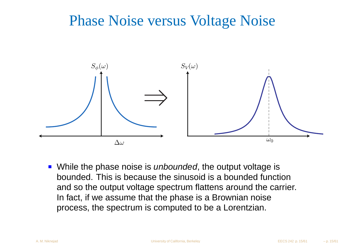## Phase Noise versus Voltage Noise



While the phase noise is *unbounded*, the output voltage is bounded. This is because the sinusoid is <sup>a</sup> bounded function and so the output voltage spectrum flattens around the carrier. In fact, if we assume that the phase is <sup>a</sup> Brownian noiseprocess, the spectrum is computed to be <sup>a</sup> Lorentzian.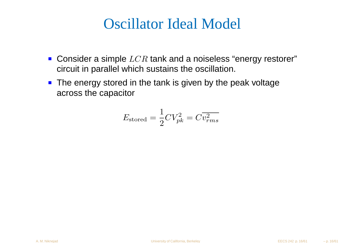## Oscillator Ideal Model

- Consider a simple  $LCR$  tank and a noiseless "energy restorer"<br>sire it is norellal which sustains the socillation circuit in parallel which sustains the oscillation.
- **The energy stored in the tank is given by the peak voltage** across the capacitor

$$
E_{\text{stored}} = \frac{1}{2}CV_{pk}^2 = C\overline{v_{rms}^2}
$$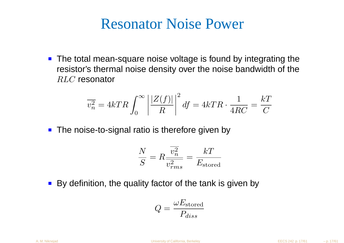#### Resonator Noise Power

■ The total mean-square noise voltage is found by integrating the resistor's thermal noise density over the noise bandwidth of the $RLC$  resonator

$$
\overline{v_n^2} = 4kTR \int_0^\infty \left| \frac{|Z(f)|}{R} \right|^2 df = 4kTR \cdot \frac{1}{4RC} = \frac{k}{C}
$$

• The noise-to-signal ratio is therefore given by

$$
\frac{N}{S} = R \frac{\overline{v_n^2}}{\overline{v_{rms}^2}} = \frac{kT}{E_{\rm stored}}
$$

By definition, the quality factor of the tank is given by

$$
Q = \frac{\omega E_{\rm stored}}{P_{diss}}
$$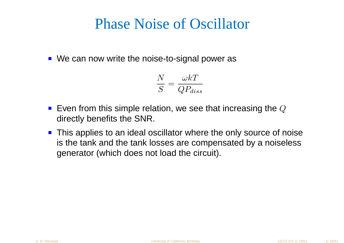## Phase Noise of Oscillator

■ We can now write the noise-to-signal power as

$$
\frac{N}{S} = \frac{\omega kT}{QP_{diss}}
$$

- Even from this simple relation, we see that increasing the  $Q$ directly benefits the SNR.
- **This applies to an ideal oscillator where the only source of noise**  is the tank and the tank losses are compensated by <sup>a</sup> noiselessgenerator (which does not load the circuit).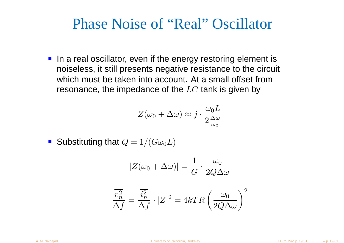#### Phase Noise of "Real" Oscillator

In a real oscillator, even if the energy restoring element is noiseless, it still presents negative resistance to the circuit which must be taken into account. At <sup>a</sup> small offset fromresonance, the impedance of the  $LC$  tank is given by

$$
Z(\omega_0 + \Delta \omega) \approx j \cdot \frac{\omega_0 L}{2 \frac{\Delta \omega}{\omega_0}}
$$

Substituting that  $Q=1/(G\omega_0L)$ 

$$
|Z(\omega_0 + \Delta \omega)| = \frac{1}{G} \cdot \frac{\omega_0}{2Q\Delta \omega}
$$

$$
\frac{\overline{v_n^2}}{\Delta f} = \frac{\overline{i_n^2}}{\Delta f} \cdot |Z|^2 = 4kTR \left(\frac{\omega_0}{2Q\Delta\omega}\right)^2
$$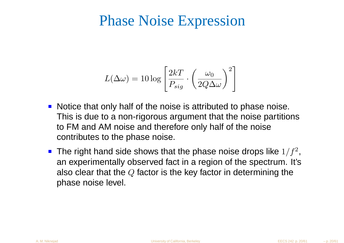### Phase Noise Expression

$$
L(\Delta \omega) = 10 \log \left[ \frac{2kT}{P_{sig}} \cdot \left( \frac{\omega_0}{2Q\Delta \omega} \right)^2 \right]
$$

- Notice that only half of the noise is attributed to phase noise. This is due to <sup>a</sup> non-rigorous argument that the noise partitionsto FM and AM noise and therefore only half of the noisecontributes to the phase noise.
- The right hand side shows that the phase noise drops like  $1/f^2$  an experimentally observed fact in <sup>a</sup> region of the spectrum. It's ,also clear that the  $Q$  factor is the key factor in determining the<br>nhase naise lovel phase noise level.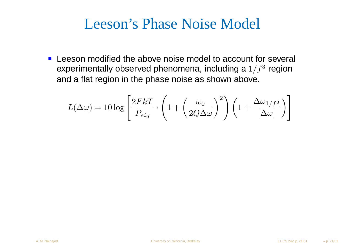## Leeson's Phase Noise Model

**EXTERGHEEVIOR IDEO EXAMPLE THE EXAMPLE THE LEESON MOdified the above noise model to account for several** experimentally observed phenomena, including a  $1/f^3$  region and <sup>a</sup> flat region in the phase noise as shown above.

$$
L(\Delta \omega) = 10 \log \left[ \frac{2FkT}{P_{sig}} \cdot \left( 1 + \left( \frac{\omega_0}{2Q\Delta \omega} \right)^2 \right) \left( 1 + \frac{\Delta \omega_{1/f^3}}{|\Delta \omega|} \right) \right]
$$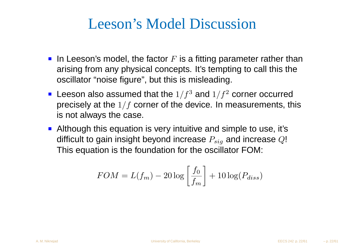## Leeson's Model Discussion

- In Leeson's model, the factor  $F$  is a fitting parameter rather than arising from any physical concepts. It's tempting to call this theoscillator "noise figure", but this is misleading.
- Leeson also assumed that the  $1/f^3$  and  $1/f^2$  corner occurred precisely at the  $1/f$  corner of the device. In measurements, this is not always the case.
- **Although this equation is very intuitive and simple to use, it's** difficult to gain insight beyond increase  $P_{sig}$  and increase  $Q!$ This equation is the foundation for the oscillator FOM:

$$
FOM = L(f_m) - 20 \log \left[ \frac{f_0}{f_m} \right] + 10 \log(P_{diss})
$$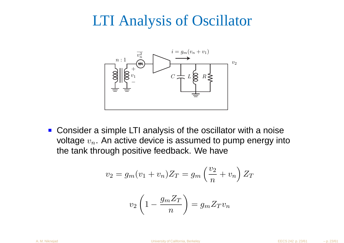## LTI Analysis of Oscillator



■ Consider a simple LTI analysis of the oscillator with a noise voltage  $v_n.$  An active device is assumed to pump energy into the tank through positive feedback. We have

$$
v_2 = g_m(v_1 + v_n)Z_T = g_m\left(\frac{v_2}{n} + v_n\right)Z_T
$$

$$
v_2\left(1 - \frac{g_m Z_T}{n}\right) = g_m Z_T v_n
$$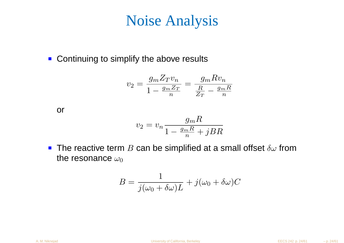## Noise Analysis

■ Continuing to simplify the above results

$$
v_2 = \frac{g_m Z_T v_n}{1 - \frac{g_m Z_T}{n}} = \frac{g_m R v_n}{\frac{R}{Z_T} - \frac{g_m R}{n}}
$$

or

$$
v_2 = v_n \frac{g_m R}{1 - \frac{g_m R}{n} + jBR}
$$

The reactive term  $B$  can be simplified at a small offset  $\delta\omega$  from<br>the resenance  $\omega$ the resonance  $\omega_0$ 

$$
B = \frac{1}{j(\omega_0 + \delta \omega)L} + j(\omega_0 + \delta \omega)C
$$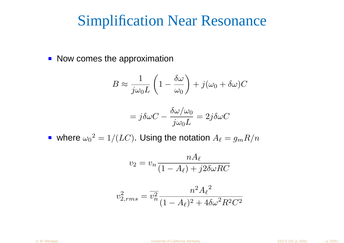#### Simplification Near Resonance

Now comes the approximation

$$
B \approx \frac{1}{j\omega_0 L} \left( 1 - \frac{\delta \omega}{\omega_0} \right) + j(\omega_0 + \delta \omega) C
$$

$$
=j\delta\omega C-\frac{\delta\omega/\omega_0}{j\omega_0 L}=2j\delta\omega C
$$

where  $\omega_0$  $\Delta^2=1/(LC)$ . Using the notation  $A_\ell=g_mR/n$ 

$$
v_2 = v_n \frac{nA_\ell}{(1 - A_\ell) + j2\delta\omega RC}
$$

$$
v_{2,rms}^2 = \overline{v_n^2} \frac{n^2 A_\ell{}^2}{(1 - A_\ell)^2 + 4\delta\omega^2 R^2 C^2}
$$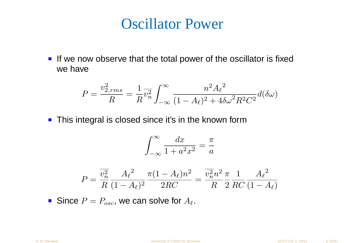#### Oscillator Power

If we now observe that the total power of the oscillator is fixedwe have

$$
P = \frac{v_{2,rms}^2}{R} = \frac{1}{R} \overline{v_n^2} \int_{-\infty}^{\infty} \frac{n^2 A_{\ell}^2}{(1 - A_{\ell})^2 + 4\delta\omega^2 R^2 C^2} d(\delta\omega)
$$

**This integral is closed since it's in the known form** 

$$
\int_{-\infty}^{\infty} \frac{dx}{1 + a^2 x^2} = \frac{\pi}{a}
$$

$$
P = \frac{\overline{v_n^2}}{R} \frac{A_{\ell}^2}{(1 - A_{\ell})^2} \frac{\pi (1 - A_{\ell}) n^2}{2RC} = \frac{\overline{v_n^2} n^2}{R} \frac{\pi}{2} \frac{1}{RC} \frac{A_{\ell}^2}{(1 - A_{\ell})}
$$

Since  $P=P_{osc}$ , we can solve for  $A_\ell$ .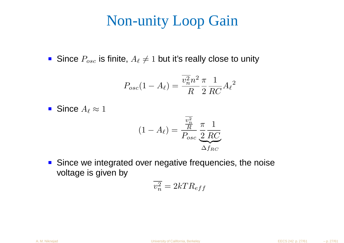## Non-unity Loop Gain

Since  $P_{osc}$  is finite,  $A_\ell$  $\neq 1$  but it's really close to unity

$$
P_{osc}(1 - A_{\ell}) = \frac{\overline{v_n^2} n^2}{R} \frac{\pi}{2} \frac{1}{RC} A_{\ell}^2
$$

Since  $A_\ell\approx 1$ 

$$
(1 - A_{\ell}) = \frac{\frac{\overline{v_n^2}}{R}}{P_{osc}} \frac{\pi}{2} \frac{1}{RC}
$$

$$
\Delta f_{RC}
$$

■ Since we integrated over negative frequencies, the noise voltage is given by

$$
\overline{v_n^2} = 2kTR_{eff}
$$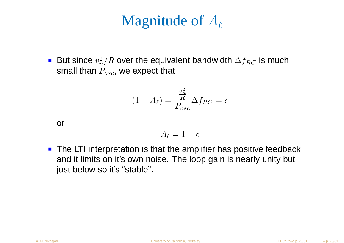## Magnitude of  $A_\ell$

But since  $v_n^2/R$  over the equivalent bandwidth  $\Delta f_{RC}$  is much small than  $P_{osc}$ , we expect that

$$
(1 - A_{\ell}) = \frac{\overline{v_n^2}}{P_{osc}} \Delta f_{RC} = \epsilon
$$

or

$$
A_{\ell}=1-\epsilon
$$

**The LTI interpretation is that the amplifier has positive feedback** and it limits on it's own noise. The loop gain is nearly unity but just below so it's "stable".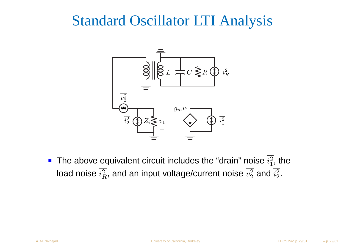## Standard Oscillator LTI Analysis



The above equivalent circuit includes the "drain" noise  $i_1^2$  $_1^2$ , the load noise  $i^2_{\mathit{F}}$  $^2_R$ , and an input voltage/current noise  $v^2_2$  2 $\frac{2}{2}$  and  $i_2^2$  $2\,$  .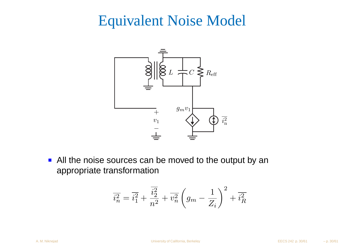## Equivalent Noise Model



All the noise sources can be moved to the output by an appropriate transformation

$$
\overline{i_n^2} = \overline{i_1^2} + \frac{\overline{i_2^2}}{n^2} + \overline{v_n^2} \left( g_m - \frac{1}{Z_i} \right)^2 + \overline{i_R^2}
$$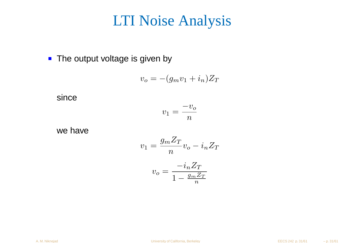#### LTI Noise Analysis

• The output voltage is given by

$$
v_o = -(g_m v_1 + i_n) Z_T
$$

since

$$
v_1 = \frac{-v_o}{n}
$$

we have

$$
v_1 = \frac{g_m Z_T}{n} v_o - i_n Z_T
$$

$$
v_o = \frac{-i_n Z_T}{1 - \frac{g_m Z_T}{n}}
$$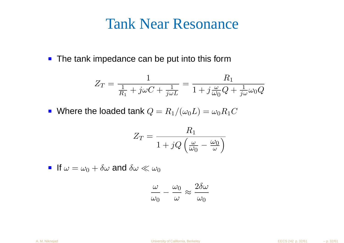#### Tank Near Resonance

■ The tank impedance can be put into this form

$$
Z_T = \frac{1}{\frac{1}{R_1} + j\omega C + \frac{1}{j\omega L}} = \frac{R_1}{1 + j\frac{\omega}{\omega_0}Q + \frac{1}{j\omega}\omega_0 Q}
$$

Where the loaded tank  $Q=R_1/(\omega_0$  $L$ ) =  $\omega_0 R_1 C$ 

$$
Z_T = \frac{R_1}{1 + jQ\left(\frac{\omega}{\omega_0} - \frac{\omega_0}{\omega}\right)}
$$

If  $\omega=\omega_0+\delta\omega$  and  $\delta\omega\ll\omega_0$ 

$$
\frac{\omega}{\omega_0} - \frac{\omega_0}{\omega} \approx \frac{2\delta\omega}{\omega_0}
$$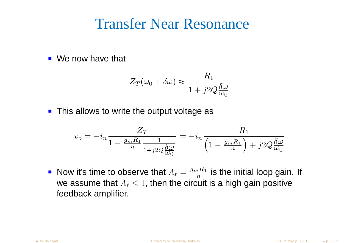#### Transfer Near Resonance

■ We now have that

$$
Z_T(\omega_0 + \delta \omega) \approx \frac{R_1}{1 + j2Q \frac{\delta \omega}{\omega_0}}
$$

• This allows to write the output voltage as

$$
v_o = -i_n \frac{Z_T}{1 - \frac{g_m R_1}{n} \frac{1}{1 + j2Q \frac{\delta \omega}{\omega_0}}} = -i_n \frac{R_1}{\left(1 - \frac{g_m R_1}{n}\right) + j2Q \frac{\delta \omega}{\omega_0}}
$$

Now it's time to observe that  $A_\ell=\frac{g_m}{g}$ we assume that  $A_\ell\leq 1,$  then the circuit is a high gain positive  $R_{\rm 1}$  $\,n_{-}$  $\frac{n^{R_1}}{n}$  is the initial loop gain. If feedback amplifier.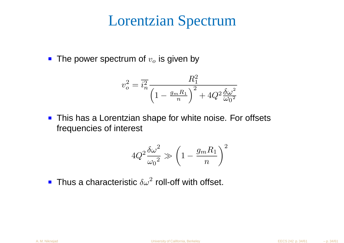#### Lorentzian Spectrum

The power spectrum of  $v_o$  $_{o}$  is given by

$$
v_o^2 = \overline{i_n^2} \frac{R_1^2}{\left(1 - \frac{g_m R_1}{n}\right)^2 + 4Q^2 \frac{\delta \omega^2}{\omega_0^2}}
$$

**This has a Lorentzian shape for white noise. For offsets** frequencies of interest

$$
4Q^2\frac{\delta\omega^2}{\omega_0{}^2}\gg\left(1-\frac{g_mR_1}{n}\right)^2
$$

Thus a characteristic  $\delta\omega^2$  roll-off with offset.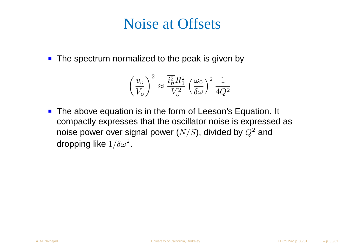## Noise at Offsets

• The spectrum normalized to the peak is given by

$$
\left(\frac{v_o}{V_o}\right)^2 \approx \frac{\overline{i_n^2} R_1^2}{V_o^2} \left(\frac{\omega_0}{\delta \omega}\right)^2 \frac{1}{4Q^2}
$$

**The above equation is in the form of Leeson's Equation. It** compactly expresses that the oscillator noise is expressed as noise power over signal power ( $N/S$ ), divided by  $Q^2$  and dropping like  $1/\delta\omega^2$ .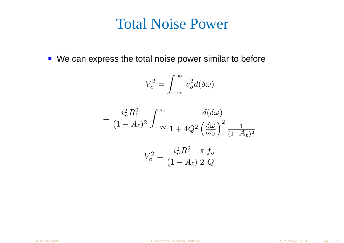#### Total Noise Power

■ We can express the total noise power similar to before

$$
V_o^2 = \int_{-\infty}^{\infty} v_o^2 d(\delta \omega)
$$

$$
= \frac{\overline{i_n^2} R_1^2}{(1 - A_\ell)^2} \int_{-\infty}^{\infty} \frac{d(\delta \omega)}{1 + 4Q^2 \left(\frac{\delta \omega}{\omega_0}\right)^2} \frac{1}{(1 - A_\ell)^2}
$$

$$
V_o^2 = \frac{\overline{i_n^2} R_1^2}{(1 - A_\ell)} \frac{\pi}{2} \frac{f_o}{Q}
$$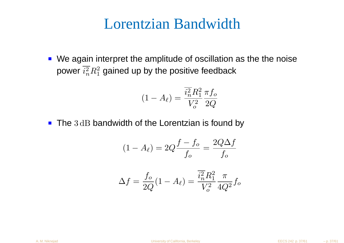#### Lorentzian Bandwidth

We again interpret the amplitude of oscillation as the the noisepower  $i_n^2$  ${2\over n}R_1^2$  1 $_1^2$  gained up by the positive feedback

$$
(1 - A_{\ell}) = \frac{\overline{i_n^2} R_1^2}{V_o^2} \frac{\pi f_o}{2Q}
$$

The  $3\,\mathrm{dB}$  bandwidth of the Lorentzian is found by

$$
(1 - A_{\ell}) = 2Q \frac{f - f_o}{f_o} = \frac{2Q\Delta f}{f_o}
$$

$$
\Delta f = \frac{f_o}{2Q}(1 - A_\ell) = \frac{\overline{i_a^2} R_1^2}{V_o^2} \frac{\pi}{4Q^2} f_o
$$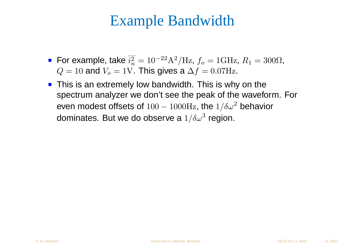## Example Bandwidth

- For example, take  $i_n^2$  $\sim$   $\sim$  $\, n \,$  $\frac{2}{n} = 10^{-22}$  $^2\mathrm{A}^2$  $Q=10$  and  $V_o=1\text{V}$ . This gives a  $\Delta f=0.07\text{Hz}$ .  $^{2}/\text{Hz}$ ,  $f_{o} = 1 \text{GHz}$ , R 1 $_{1} = 300\Omega,$
- This is an extremely low bandwidth. This is why on the spectrum analyzer we don't see the peak of the waveform. Foreven modest offsets of  $100\,$ dominates. But we do observe a  $1/\delta\omega^3$  region.  $-1000$ Hz, the  $1/\delta\omega^2$  behavior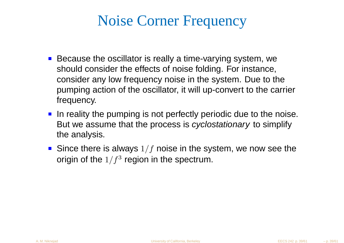## Noise Corner Frequency

- Because the oscillator is really a time-varying system, we should consider the effects of noise folding. For instance, consider any low frequency noise in the system. Due to the pumping action of the oscillator, it will up-convert to the carrierfrequency.
- In reality the pumping is not perfectly periodic due to the noise. But we assume that the process is *cyclostationary* to simplify the analysis.
- Since there is always  $1/f$  noise in the system, we now see the origin of the  $1/f^3$  region in the spectrum.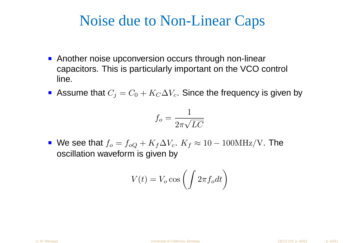## Noise due to Non-Linear Caps

- **Another noise upconversion occurs through non-linear** capacitors. This is particularly important on the VCO control line.
- Assume that  $C_j=C_0+K_C\Delta V_c.$  Since the frequency is given by

$$
f_o = \frac{1}{2\pi\sqrt{LC}}
$$

We see that  $f_o = f_{oQ} + K_f \Delta V_c$ .  $K_f \approx 10$  oscillation waveform is given by $-100\mathrm{MHz/V}$ . The

$$
V(t) = V_o \cos\left(\int 2\pi f_o dt\right)
$$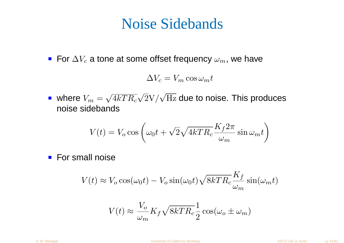### Noise Sidebands

For  $\Delta V_c$  a tone at some offset frequency  $\omega_m$ , we have

$$
\Delta V_c = V_m \cos \omega_m t
$$

where  $V_m = \sqrt{4 k T R_c} \sqrt{2} {\rm V} / \sqrt{\rm Hz}$  due to noise. This produces<br>poise sidebands noise sidebands

$$
V(t) = V_o \cos \left(\omega_0 t + \sqrt{2} \sqrt{4kTR_c} \frac{K_f 2\pi}{\omega_m} \sin \omega_m t\right)
$$

**For small noise** 

$$
V(t) \approx V_o \cos(\omega_0 t) - V_o \sin(\omega_0 t) \sqrt{8kTR_c} \frac{K_f}{\omega_m} \sin(\omega_m t)
$$

$$
V(t) \approx \frac{V_o}{\omega_m} K_f \sqrt{8kTR_c} \frac{1}{2} \cos(\omega_o \pm \omega_m)
$$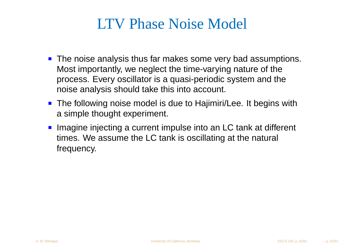## LTV Phase Noise Model

- **The noise analysis thus far makes some very bad assumptions.** Most importantly, we neglect the time-varying nature of the process. Every oscillator is <sup>a</sup> quasi-periodic system and thenoise analysis should take this into account.
- The following noise model is due to Hajimiri/Lee. It begins with <sup>a</sup> simple thought experiment.
- Imagine injecting a current impulse into an LC tank at different times. We assume the LC tank is oscillating at the natural frequency.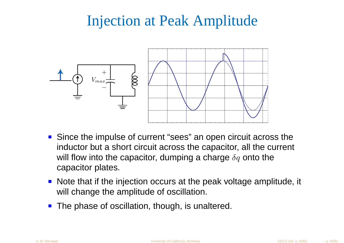## Injection at Peak Amplitude



- Since the impulse of current "sees" an open circuit across the inductor but <sup>a</sup> short circuit across the capacitor, all the current will flow into the capacitor, dumping a charge  $\delta q$  onto the capacitor plates.
- Note that if the injection occurs at the peak voltage amplitude, it will change the amplitude of oscillation.
- **The phase of oscillation, though, is unaltered.**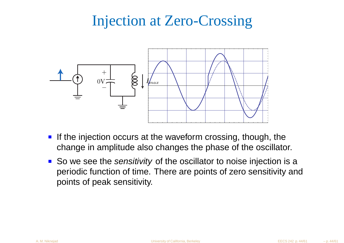## Injection at Zero-Crossing



- If the injection occurs at the waveform crossing, though, thechange in amplitude also changes the phase of the oscillator.
- So we see the sensitivity of the oscillator to noise injection is a periodic function of time. There are points of zero sensitivity andpoints of peak sensitivity.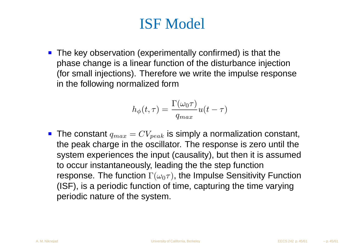## ISF Model

**The key observation (experimentally confirmed) is that the**  phase change is <sup>a</sup> linear function of the disturbance injection (for small injections). Therefore we write the impulse responsein the following normalized form

$$
h_{\phi}(t,\tau) = \frac{\Gamma(\omega_0 \tau)}{q_{max}} u(t-\tau)
$$

The constant  $q_{max} = CV_{peak}$  is simply a normalization constant,  $t_{back}$ the peak charge in the oscillator. The response is zero until the system experiences the input (causality), but then it is assumedto occur instantaneously, leading the the step functionresponse. The function  $\Gamma(\omega_0\tau)$ , the Impulse Sensitivity Function (ISF), is <sup>a</sup> periodic function of time, capturing the time varyingperiodic nature of the system.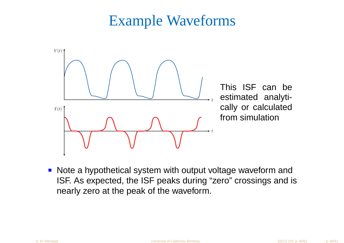## Example Waveforms



**Note a hypothetical system with output voltage waveform and**  ISF. As expected, the ISF peaks during "zero" crossings and i snearly zero at the peak of the waveform.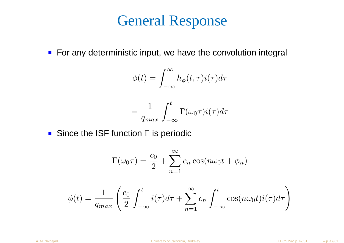## General Response

■ For any deterministic input, we have the convolution integral

$$
\phi(t) = \int_{-\infty}^{\infty} h_{\phi}(t, \tau) i(\tau) d\tau
$$

$$
= \frac{1}{q_{max}} \int_{-\infty}^{t} \Gamma(\omega_0 \tau) i(\tau) d\tau
$$

Since the ISF function  $\Gamma$  is periodic

$$
\Gamma(\omega_0 \tau) = \frac{c_0}{2} + \sum_{n=1}^{\infty} c_n \cos(n\omega_0 t + \phi_n)
$$

$$
\phi(t) = \frac{1}{q_{max}} \left( \frac{c_0}{2} \int_{-\infty}^t i(\tau) d\tau + \sum_{n=1}^{\infty} c_n \int_{-\infty}^t \cos(n\omega_0 t) i(\tau) d\tau \right)
$$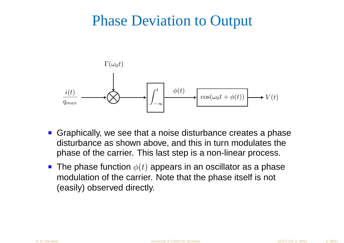#### Phase Deviation to Output



- **Graphically, we see that a noise disturbance creates a phase**  disturbance as shown above, and this in turn modulates thephase of the carrier. This last step is <sup>a</sup> non-linear process.
- The phase function  $\phi(t)$  appears in an oscillator as a phase modulation of the carrier. Note that the phase itself is not (easily) observed directly.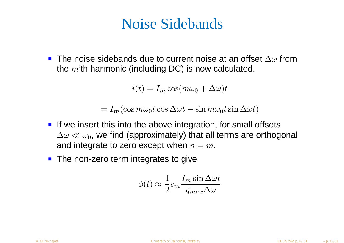## Noise Sidebands

The noise sidebands due to current noise at an offset  $\Delta\omega$  from the  $m$ 'th harmonic (including DC) is now calculated.

 $i(t) = I_m \cos(m\omega_0 + \Delta\omega)t$ 

 $= I_m(\cos m\omega_0 t \cos \Delta\omega t - \sin m\omega_0 t \sin \Delta\omega t)$ 

- If we insert this into the above integration, for small offsets  $\Delta\omega\ll\omega_0$ , we find (approximately) that all terms are orthogonal<br>and integrate to zero excent when  $n=m$ and integrate to zero except when  $n=m.$
- The non-zero term integrates to give

$$
\phi(t) \approx \frac{1}{2} c_m \frac{I_m \sin \Delta \omega t}{q_{max} \Delta \omega}
$$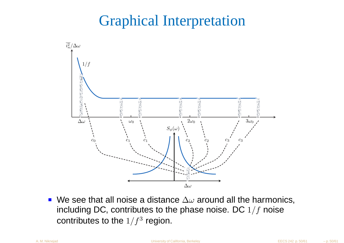## Graphical Interpretation



We see that all noise a distance  $\Delta\omega$  around all the harmonics, י ב including DC, contributes to the phase noise. DC  $1/f$  noise contributes to the  $1/f^3$  region.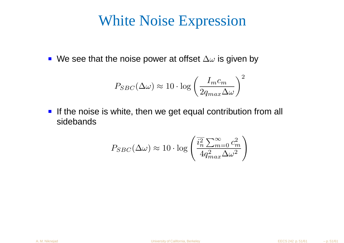## White Noise Expression

We see that the noise power at offset  $\Delta\omega$  is given by

$$
P_{SBC}(\Delta \omega) \approx 10 \cdot \log \left( \frac{I_m c_m}{2 q_{max} \Delta \omega} \right)^2
$$

**If the noise is white, then we get equal contribution from all** sidebands

$$
P_{SBC}(\Delta \omega) \approx 10 \cdot \log \left( \frac{\overline{i_n^2} \sum_{m=0}^{\infty} c_m^2}{4q_{max}^2 \Delta \omega^2} \right)
$$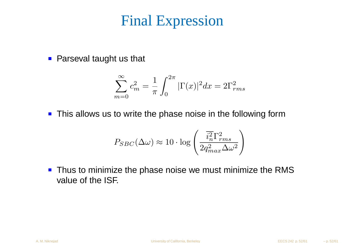## Final Expression

**Parseval taught us that** 

$$
\sum_{m=0}^{\infty} c_m^2 = \frac{1}{\pi} \int_0^{2\pi} |\Gamma(x)|^2 dx = 2\Gamma_{rms}^2
$$

**This allows us to write the phase noise in the following form** 

$$
P_{SBC}(\Delta \omega) \approx 10 \cdot \log \left( \frac{\overline{i_n^2} \Gamma_{rms}^2}{2 q_{max}^2 \Delta \omega^2} \right)
$$

**Thus to minimize the phase noise we must minimize the RMS** value of the ISF.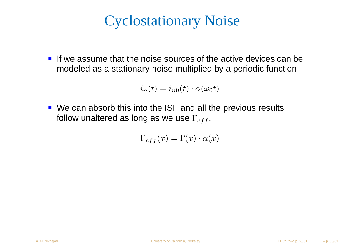## Cyclostationary Noise

If we assume that the noise sources of the active devices can bemodeled as <sup>a</sup> stationary noise multiplied by <sup>a</sup> periodic function

$$
i_n(t) = i_{n0}(t) \cdot \alpha(\omega_0 t)
$$

We can absorb this into the ISF and all the previous resultsfollow unaltered as long as we use  $\Gamma_{eff}.$ 

$$
\Gamma_{eff}(x) = \Gamma(x) \cdot \alpha(x)
$$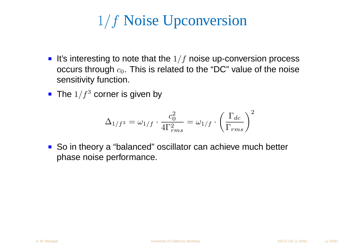# $1/f$  Noise Upconversion

- It's interesting to note that the  $1/f$  noise up-conversion process occurs through  $c_0.$  This is related to the "DC" value of the noise sensitivity function.
- The  $1/f^3$  corner is given by

$$
\Delta_{1/f^3} = \omega_{1/f} \cdot \frac{c_0^2}{4\Gamma_{rms}^2} = \omega_{1/f} \cdot \left(\frac{\Gamma_{dc}}{\Gamma_{rms}}\right)^2
$$

■ So in theory a "balanced" oscillator can achieve much better phase noise performance.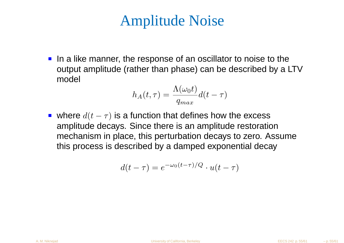## Amplitude Noise

In a like manner, the response of an oscillator to noise to the output amplitude (rather than phase) can be described by <sup>a</sup> LTVmodel

$$
h_A(t,\tau) = \frac{\Lambda(\omega_0 t)}{q_{max}}d(t-\tau)
$$

where  $d(t-\tau)$  is a function that defines how the excess **Contract Contract**  amplitude decays. Since there is an amplitude restoration mechanism in place, this perturbation decays to zero. Assumethis process is described by <sup>a</sup> damped exponential decay

$$
d(t-\tau) = e^{-\omega_0(t-\tau)/Q} \cdot u(t-\tau)
$$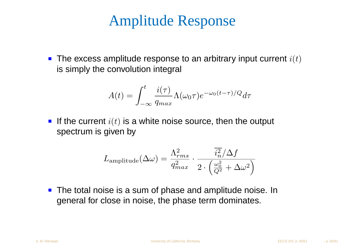## Amplitude Response

The excess amplitude response to an arbitrary input current  $i(t)$ is simply the convolution integral

$$
A(t) = \int_{-\infty}^{t} \frac{i(\tau)}{q_{max}} \Lambda(\omega_0 \tau) e^{-\omega_0 (t - \tau)/Q} d\tau
$$

If the current  $i(t)$  is a white noise source, then the output spectrum is given by

$$
L_{\rm amplitude}(\Delta \omega) = \frac{\Lambda_{rms}^2}{q_{max}^2} \cdot \frac{\overline{i_n^2}/\Delta f}{2 \cdot \left(\frac{\omega_0^2}{Q^2} + \Delta \omega^2\right)}
$$

**The total noise is a sum of phase and amplitude noise. In** general for close in noise, the phase term dominates.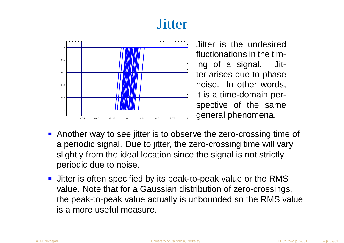## **Jitter**



 Jitter is the undesired fluctionations in the timing of <sup>a</sup> signal. Jitter arises due to phase noise. In other words, it is <sup>a</sup> time-domain perspective of the samegeneral phenomena.

- **Another way to see jitter is to observe the zero-crossing time of** <sup>a</sup> periodic signal. Due to jitter, the zero-crossing time will varyslightly from the ideal location since the signal is not strictlyperiodic due to noise.
- **Jitter is often specified by its peak-to-peak value or the RMS**  value. Note that for <sup>a</sup> Gaussian distribution of zero-crossings, the peak-to-peak value actually is unbounded so the RMS valueis <sup>a</sup> more useful measure.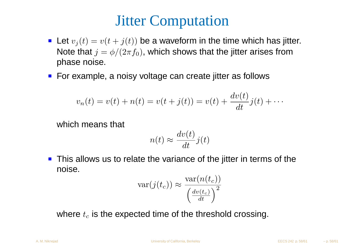## Jitter Computation

- Let  $v_j(t) = v(t+j(t))$  be a waveform in the time which has jitter.  $\mathbf{L} = \mathbf{L} \mathbf{L}$ Note that  $j = \phi/(2\pi f_0)$ , which shows that the jitter arises from phase noise.
- For example, a noisy voltage can create jitter as follows

$$
v_n(t) = v(t) + n(t) = v(t + j(t)) = v(t) + \frac{dv(t)}{dt}j(t) + \cdots
$$

which means that

$$
n(t) \approx \frac{dv(t)}{dt} j(t)
$$

**This allows us to relate the variance of the jitter in terms of the** noise.

$$
\text{var}(j(t_c)) \approx \frac{\text{var}(n(t_c))}{\left(\frac{dv(t_c)}{dt}\right)^2}
$$

where  $t_c$  is the expected time of the threshold crossing.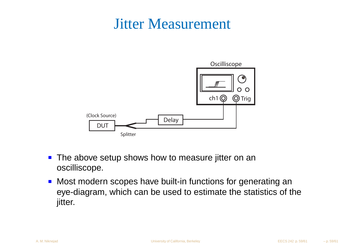## Jitter Measurement



- **The above setup shows how to measure jitter on an** oscilliscope.
- Most modern scopes have built-in functions for generating <sup>a</sup>n eye-diagram, which can be used to estimate the statistics of thejitter.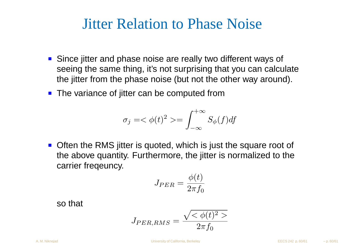## Jitter Relation to Phase Noise

- Since jitter and phase noise are really two different ways of seeing the same thing, it's not surprising that you can calculatethe jitter from the phase noise (but not the other way around).
- The variance of jitter can be computed from

$$
\sigma_j = \langle \phi(t)^2 \rangle = \int_{-\infty}^{+\infty} S_{\phi}(f) df
$$

Often the RMS jitter is quoted, which is just the square root <sup>o</sup>f the above quantity. Furthermore, the jitter is normalized to the carrier freqeuncy.

$$
J_{PER} = \frac{\phi(t)}{2\pi f_0}
$$

so that

$$
J_{PER,RMS} = \frac{\sqrt{<\phi(t)^2>}}{2\pi f_0}
$$